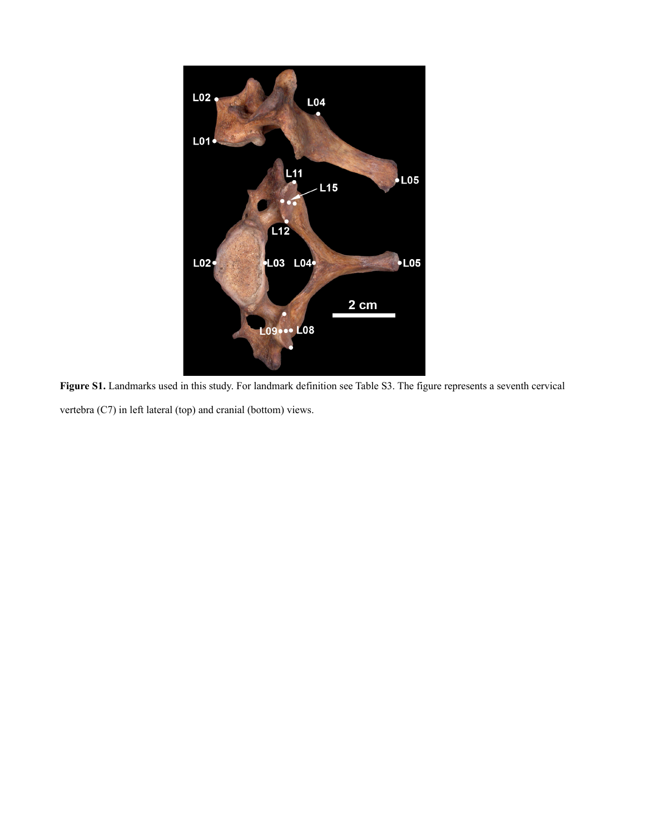

**Figure S1.** Landmarks used in this study. For landmark definition see Table S3. The figure represents a seventh cervical vertebra (C7) in left lateral (top) and cranial (bottom) views.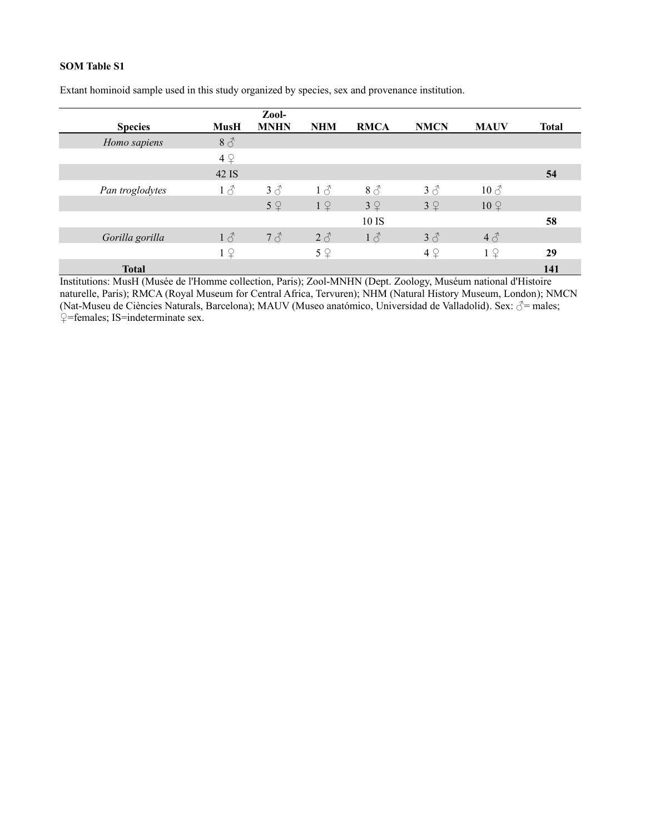|                                                                                                      |                   | Zool-                       |             |                                  |              |                            |              |
|------------------------------------------------------------------------------------------------------|-------------------|-----------------------------|-------------|----------------------------------|--------------|----------------------------|--------------|
| <b>Species</b>                                                                                       | <b>MusH</b>       | <b>MNHN</b>                 | <b>NHM</b>  | <b>RMCA</b>                      | <b>NMCN</b>  | <b>MAUV</b>                | <b>Total</b> |
| Homo sapiens                                                                                         | $8\sigma$         |                             |             |                                  |              |                            |              |
|                                                                                                      | 4Q                |                             |             |                                  |              |                            |              |
|                                                                                                      | 42 IS             |                             |             |                                  |              |                            | 54           |
| Pan troglodytes                                                                                      | $1\delta$         | $3\delta$                   | $1\delta$   | $8\sigma$                        | $3\delta$    | $10 \, \text{J}$           |              |
|                                                                                                      |                   | 5Q                          | 19          | 3Q                               | 3Q           | $10 \nvert\Omega$          |              |
|                                                                                                      |                   |                             |             | 10 IS                            |              |                            | 58           |
| Gorilla gorilla                                                                                      | $1\delta$         | $7\delta$                   | $2\delta$   | $1\delta$                        | $3\delta$    | $4\delta$                  |              |
|                                                                                                      | $1 \nvert \nvert$ |                             | $5\sqrt{2}$ |                                  | 4Q           | $1\sqrt{2}$                | 29           |
| <b>Total</b><br>エー・スキャー・エキー<br>$\sqrt{1 + 1}$<br>$\mathbf{v}$ $\mathbf{v}$ $\mathbf{v}$ $\mathbf{v}$ |                   | $\mathbf{11}$ $\mathbf{12}$ |             | $P \rightarrow P$ industry $P$ i | $\mathbf{r}$ | <b>Service</b><br>1.117777 | 141          |

Extant hominoid sample used in this study organized by species, sex and provenance institution.

Institutions: MusH (Musée de l'Homme collection, Paris); Zool-MNHN (Dept. Zoology, Muséum national d'Histoire naturelle, Paris); RMCA (Royal Museum for Central Africa, Tervuren); NHM (Natural History Museum, London); NMCN (Nat-Museu de Ciències Naturals, Barcelona); MAUV (Museo anatómico, Universidad de Valladolid). Sex: ♂= males; ♀=females; IS=indeterminate sex.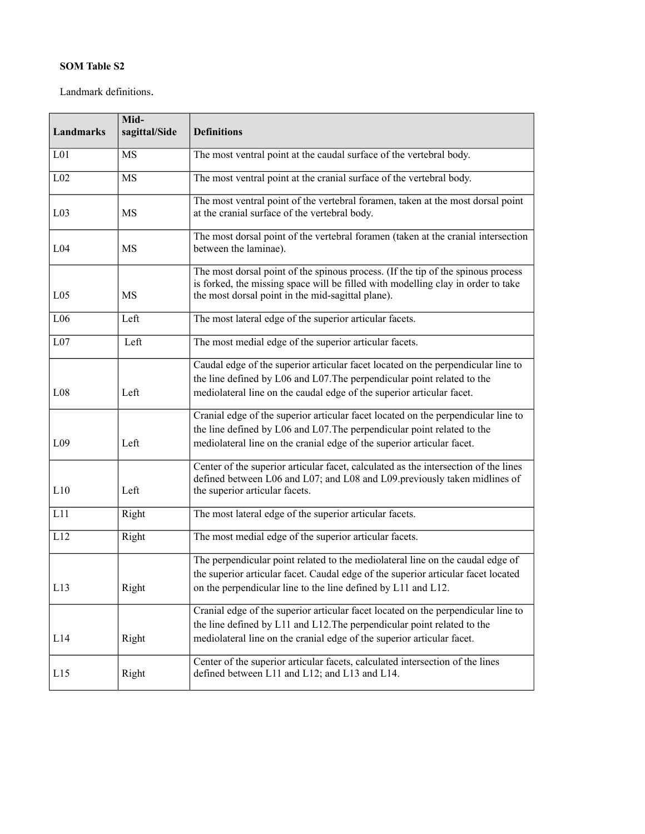Landmark definitions.

| <b>Landmarks</b> | Mid-<br>sagittal/Side | <b>Definitions</b>                                                                                                                                                                                                                     |
|------------------|-----------------------|----------------------------------------------------------------------------------------------------------------------------------------------------------------------------------------------------------------------------------------|
| L <sub>01</sub>  | MS                    | The most ventral point at the caudal surface of the vertebral body.                                                                                                                                                                    |
| L <sub>02</sub>  | MS                    | The most ventral point at the cranial surface of the vertebral body.                                                                                                                                                                   |
| L <sub>03</sub>  | <b>MS</b>             | The most ventral point of the vertebral foramen, taken at the most dorsal point<br>at the cranial surface of the vertebral body.                                                                                                       |
| L <sub>04</sub>  | MS                    | The most dorsal point of the vertebral foramen (taken at the cranial intersection<br>between the laminae).                                                                                                                             |
| L <sub>05</sub>  | MS                    | The most dorsal point of the spinous process. (If the tip of the spinous process<br>is forked, the missing space will be filled with modelling clay in order to take<br>the most dorsal point in the mid-sagittal plane).              |
| L <sub>06</sub>  | Left                  | The most lateral edge of the superior articular facets.                                                                                                                                                                                |
| L07              | Left                  | The most medial edge of the superior articular facets.                                                                                                                                                                                 |
| L08              | Left                  | Caudal edge of the superior articular facet located on the perpendicular line to<br>the line defined by L06 and L07. The perpendicular point related to the<br>mediolateral line on the caudal edge of the superior articular facet.   |
| L <sub>09</sub>  | Left                  | Cranial edge of the superior articular facet located on the perpendicular line to<br>the line defined by L06 and L07. The perpendicular point related to the<br>mediolateral line on the cranial edge of the superior articular facet. |
| L10              | Left                  | Center of the superior articular facet, calculated as the intersection of the lines<br>defined between L06 and L07; and L08 and L09.previously taken midlines of<br>the superior articular facets.                                     |
| L11              | Right                 | The most lateral edge of the superior articular facets.                                                                                                                                                                                |
| L12              | Right                 | The most medial edge of the superior articular facets.                                                                                                                                                                                 |
| L <sub>13</sub>  | Right                 | The perpendicular point related to the mediolateral line on the caudal edge of<br>the superior articular facet. Caudal edge of the superior articular facet located<br>on the perpendicular line to the line defined by L11 and L12.   |
| L14              | Right                 | Cranial edge of the superior articular facet located on the perpendicular line to<br>the line defined by L11 and L12. The perpendicular point related to the<br>mediolateral line on the cranial edge of the superior articular facet. |
| L15              | Right                 | Center of the superior articular facets, calculated intersection of the lines<br>defined between L11 and L12; and L13 and L14.                                                                                                         |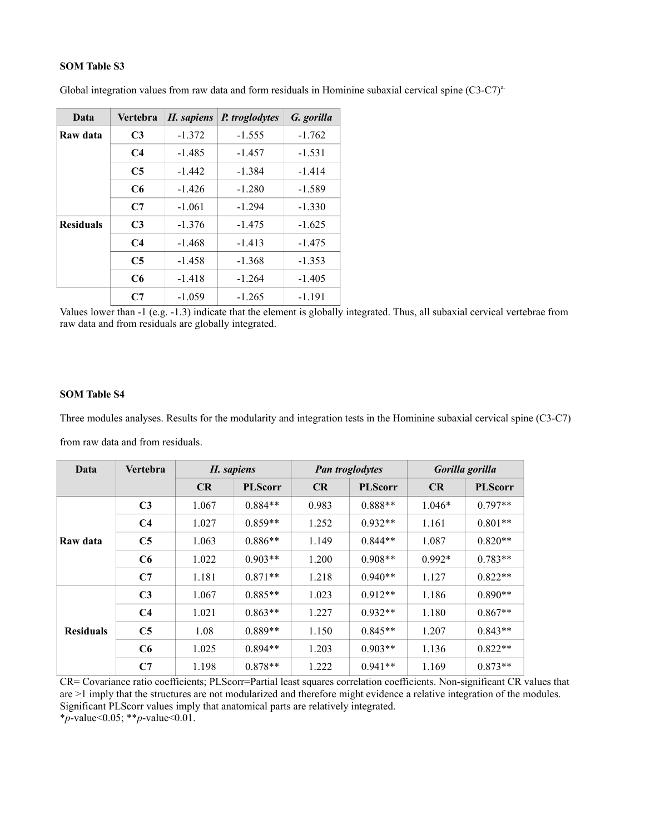| Data             | <b>Vertebra</b> | H. sapiens | P. troglodytes | G. gorilla |  |
|------------------|-----------------|------------|----------------|------------|--|
| Raw data         | C <sub>3</sub>  | $-1.372$   | $-1.555$       | $-1.762$   |  |
|                  | C <sub>4</sub>  | $-1.485$   | $-1.457$       | $-1.531$   |  |
|                  | C <sub>5</sub>  | $-1.442$   | $-1.384$       | $-1.414$   |  |
|                  | C6              | $-1.426$   | $-1.280$       | $-1.589$   |  |
|                  | C <sub>7</sub>  | $-1.061$   | $-1.294$       | $-1.330$   |  |
| <b>Residuals</b> | C <sub>3</sub>  | $-1.376$   | $-1.475$       | $-1.625$   |  |
|                  | C <sub>4</sub>  | $-1.468$   | $-1.413$       | $-1.475$   |  |
|                  | C <sub>5</sub>  | $-1.458$   | $-1.368$       | $-1.353$   |  |
|                  | C6              | $-1.418$   | $-1.264$       | $-1.405$   |  |
|                  | С7              | $-1.059$   | $-1.265$       | $-1.191$   |  |

Global integration values from raw data and form residuals in Hominine subaxial cervical spine  $(C3-C7)^a$ .

Values lower than -1 (e.g. -1.3) indicate that the element is globally integrated. Thus, all subaxial cervical vertebrae from raw data and from residuals are globally integrated.

## **SOM Table S4**

Three modules analyses. Results for the modularity and integration tests in the Hominine subaxial cervical spine (C3-C7) from raw data and from residuals.

| Data             | Vertebra       | H. sapiens |                | <b>Pan troglodytes</b> |                | Gorilla gorilla |                |
|------------------|----------------|------------|----------------|------------------------|----------------|-----------------|----------------|
|                  |                | CR         | <b>PLScorr</b> | <b>CR</b>              | <b>PLScorr</b> | <b>CR</b>       | <b>PLScorr</b> |
|                  | C <sub>3</sub> | 1.067      | $0.884**$      | 0.983                  | $0.888**$      | $1.046*$        | $0.797**$      |
| Raw data         | C <sub>4</sub> | 1.027      | $0.859**$      | 1.252                  | $0.932**$      | 1.161           | $0.801**$      |
|                  | C <sub>5</sub> | 1.063      | $0.886**$      | 1.149                  | $0.844**$      | 1.087           | $0.820**$      |
|                  | C6             | 1.022      | $0.903**$      | 1.200                  | $0.908**$      | $0.992*$        | $0.783**$      |
|                  | C7             | 1.181      | $0.871**$      | 1.218                  | $0.940**$      | 1.127           | $0.822**$      |
|                  | C <sub>3</sub> | 1.067      | $0.885**$      | 1.023                  | $0.912**$      | 1.186           | $0.890**$      |
| <b>Residuals</b> | C <sub>4</sub> | 1.021      | $0.863**$      | 1.227                  | $0.932**$      | 1.180           | $0.867**$      |
|                  | C <sub>5</sub> | 1.08       | $0.889**$      | 1.150                  | $0.845**$      | 1.207           | $0.843**$      |
|                  | C6             | 1.025      | $0.894**$      | 1.203                  | $0.903**$      | 1.136           | $0.822**$      |
|                  | C7             | 1.198      | $0.878**$      | 1.222                  | $0.941**$      | 1.169           | $0.873**$      |

CR= Covariance ratio coefficients; PLScorr=Partial least squares correlation coefficients. Non-significant CR values that are >1 imply that the structures are not modularized and therefore might evidence a relative integration of the modules. Significant PLScorr values imply that anatomical parts are relatively integrated.

\**p*-value<0.05; \*\**p*-value<0.01.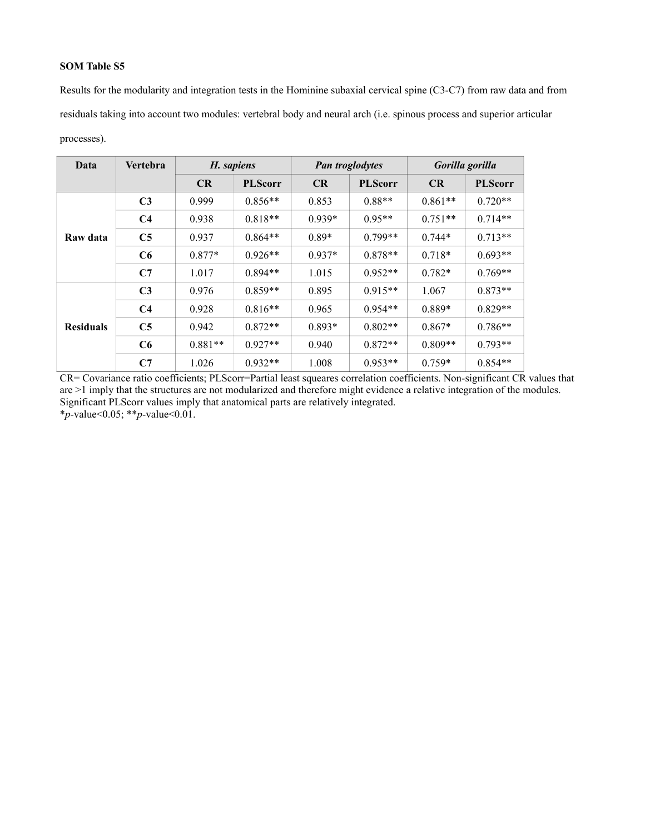Results for the modularity and integration tests in the Hominine subaxial cervical spine (C3-C7) from raw data and from residuals taking into account two modules: vertebral body and neural arch (i.e. spinous process and superior articular processes).

| Data             | Vertebra       | H. sapiens |                | <b>Pan troglodytes</b> |                | Gorilla gorilla |                |
|------------------|----------------|------------|----------------|------------------------|----------------|-----------------|----------------|
|                  |                | CR         | <b>PLScorr</b> | CR                     | <b>PLScorr</b> | CR              | <b>PLScorr</b> |
|                  | C <sub>3</sub> | 0.999      | $0.856**$      | 0.853                  | $0.88**$       | $0.861**$       | $0.720**$      |
| Raw data         | C <sub>4</sub> | 0.938      | $0.818**$      | $0.939*$               | $0.95**$       | $0.751**$       | $0.714**$      |
|                  | C <sub>5</sub> | 0.937      | $0.864**$      | $0.89*$                | $0.799**$      | $0.744*$        | $0.713**$      |
|                  | C6             | $0.877*$   | $0.926**$      | $0.937*$               | $0.878**$      | $0.718*$        | $0.693**$      |
|                  | C7             | 1.017      | $0.894**$      | 1.015                  | $0.952**$      | $0.782*$        | $0.769**$      |
| <b>Residuals</b> | C <sub>3</sub> | 0.976      | $0.859**$      | 0.895                  | $0.915**$      | 1.067           | $0.873**$      |
|                  | C <sub>4</sub> | 0.928      | $0.816**$      | 0.965                  | $0.954**$      | $0.889*$        | $0.829**$      |
|                  | C <sub>5</sub> | 0.942      | $0.872**$      | $0.893*$               | $0.802**$      | $0.867*$        | $0.786**$      |
|                  | C6             | $0.881**$  | $0.927**$      | 0.940                  | $0.872**$      | $0.809**$       | $0.793**$      |
|                  | C7             | 1.026      | $0.932**$      | 1.008                  | $0.953**$      | $0.759*$        | $0.854**$      |

CR= Covariance ratio coefficients; PLScorr=Partial least squeares correlation coefficients. Non-significant CR values that are >1 imply that the structures are not modularized and therefore might evidence a relative integration of the modules. Significant PLScorr values imply that anatomical parts are relatively integrated. \**p*-value<0.05; \*\**p*-value<0.01.